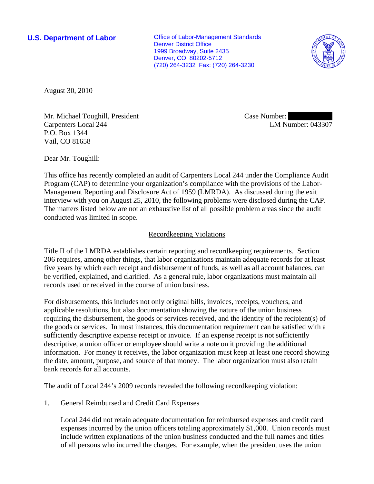**U.S. Department of Labor Conservative Conservative Conservative Conservative Conservative Conservative Conservative Conservative Conservative Conservative Conservative Conservative Conservative Conservative Conservative** Denver District Office 1999 Broadway, Suite 2435 Denver, CO 80202-5712 (720) 264-3232 Fax: (720) 264-3230



August 30, 2010

Mr. Michael Toughill, President Carpenters Local 244 P.O. Box 1344 Vail, CO 81658

Case Number: LM Number: 043307

Dear Mr. Toughill:

This office has recently completed an audit of Carpenters Local 244 under the Compliance Audit Program (CAP) to determine your organization's compliance with the provisions of the Labor-Management Reporting and Disclosure Act of 1959 (LMRDA). As discussed during the exit interview with you on August 25, 2010, the following problems were disclosed during the CAP. The matters listed below are not an exhaustive list of all possible problem areas since the audit conducted was limited in scope.

## Recordkeeping Violations

Title II of the LMRDA establishes certain reporting and recordkeeping requirements. Section 206 requires, among other things, that labor organizations maintain adequate records for at least five years by which each receipt and disbursement of funds, as well as all account balances, can be verified, explained, and clarified. As a general rule, labor organizations must maintain all records used or received in the course of union business.

For disbursements, this includes not only original bills, invoices, receipts, vouchers, and applicable resolutions, but also documentation showing the nature of the union business requiring the disbursement, the goods or services received, and the identity of the recipient(s) of the goods or services. In most instances, this documentation requirement can be satisfied with a sufficiently descriptive expense receipt or invoice. If an expense receipt is not sufficiently descriptive, a union officer or employee should write a note on it providing the additional information. For money it receives, the labor organization must keep at least one record showing the date, amount, purpose, and source of that money. The labor organization must also retain bank records for all accounts.

The audit of Local 244's 2009 records revealed the following recordkeeping violation:

1. General Reimbursed and Credit Card Expenses

Local 244 did not retain adequate documentation for reimbursed expenses and credit card expenses incurred by the union officers totaling approximately \$1,000. Union records must include written explanations of the union business conducted and the full names and titles of all persons who incurred the charges. For example, when the president uses the union